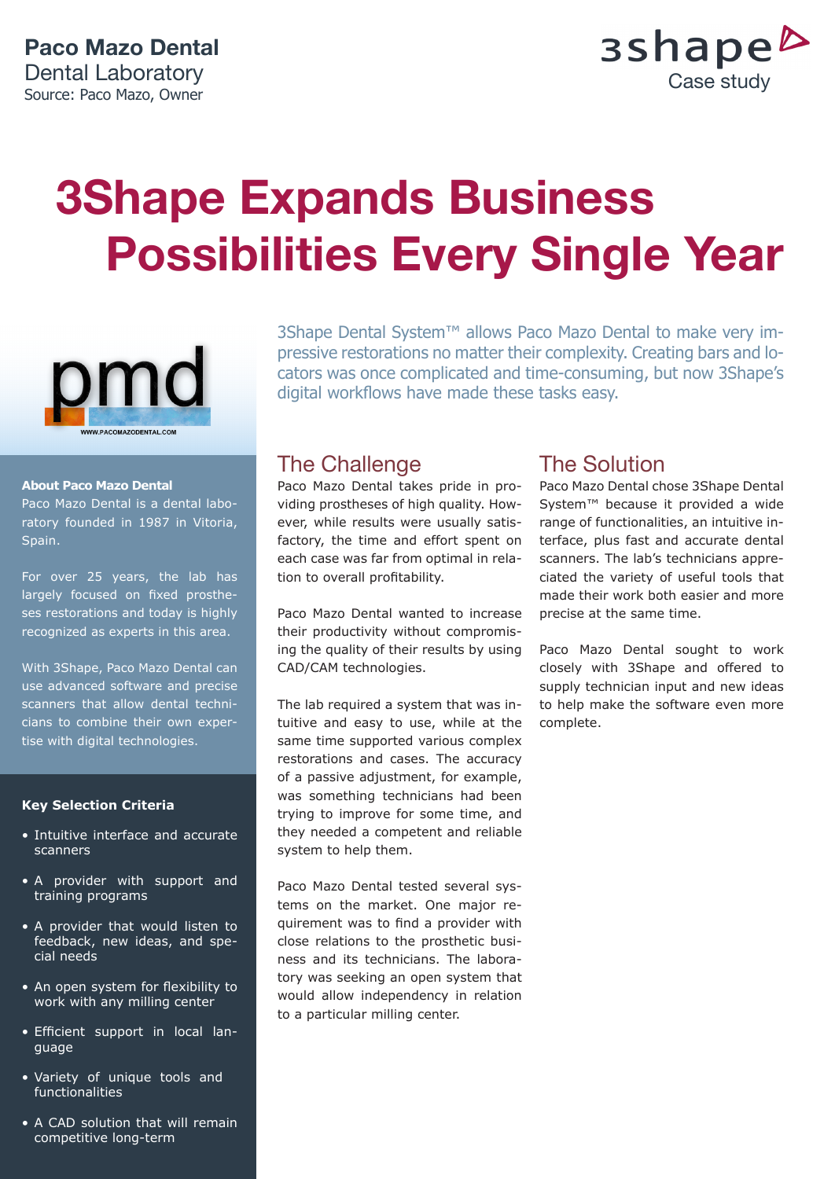

# **3Shape Expands Business Possibilities Every Single Year**



#### **About Paco Mazo Dental**

Paco Mazo Dental is a dental laboratory founded in 1987 in Vitoria, Spain.

For over 25 years, the lab has largely focused on fixed prostheses restorations and today is highly recognized as experts in this area.

With 3Shape, Paco Mazo Dental can use advanced software and precise scanners that allow dental technicians to combine their own expertise with digital technologies.

### **Key Selection Criteria**

- Intuitive interface and accurate scanners
- A provider with support and training programs
- A provider that would listen to feedback, new ideas, and special needs
- An open system for flexibility to work with any milling center
- Efficient support in local language
- Variety of unique tools and functionalities
- A CAD solution that will remain competitive long-term

3Shape Dental System™ allows Paco Mazo Dental to make very impressive restorations no matter their complexity. Creating bars and locators was once complicated and time-consuming, but now 3Shape's digital workflows have made these tasks easy.

### The Challenge

Paco Mazo Dental takes pride in providing prostheses of high quality. However, while results were usually satisfactory, the time and effort spent on each case was far from optimal in relation to overall profitability.

Paco Mazo Dental wanted to increase their productivity without compromising the quality of their results by using CAD/CAM technologies.

The lab required a system that was intuitive and easy to use, while at the same time supported various complex restorations and cases. The accuracy of a passive adjustment, for example, was something technicians had been trying to improve for some time, and they needed a competent and reliable system to help them.

Paco Mazo Dental tested several systems on the market. One major requirement was to find a provider with close relations to the prosthetic business and its technicians. The laboratory was seeking an open system that would allow independency in relation to a particular milling center.

### The Solution

Paco Mazo Dental chose 3Shape Dental System™ because it provided a wide range of functionalities, an intuitive interface, plus fast and accurate dental scanners. The lab's technicians appreciated the variety of useful tools that made their work both easier and more precise at the same time.

Paco Mazo Dental sought to work closely with 3Shape and offered to supply technician input and new ideas to help make the software even more complete.